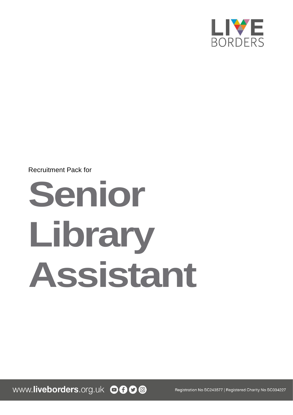

## Recruitment Pack for

# **Senior Library Assistant**

www.liveborders.org.uk OOOO

Registration No SC243577 | Registered Charity No SC034227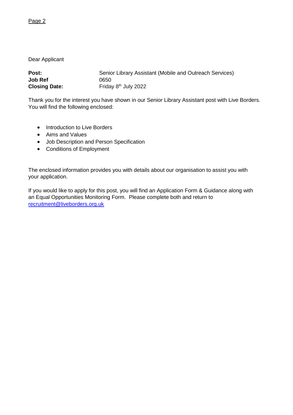Dear Applicant

| Post:                | Senior Library Assistant (Mobile and Outreach Services) |
|----------------------|---------------------------------------------------------|
| Job Ref              | 0650                                                    |
| <b>Closing Date:</b> | Friday 8 <sup>th</sup> July 2022                        |

Thank you for the interest you have shown in our Senior Library Assistant post with Live Borders. You will find the following enclosed:

- Introduction to Live Borders
- Aims and Values
- Job Description and Person Specification
- Conditions of Employment

The enclosed information provides you with details about our organisation to assist you with your application.

If you would like to apply for this post, you will find an Application Form & Guidance along with an Equal Opportunities Monitoring Form. Please complete both and return to [recruitment@liveborders.org.uk](mailto:recruitment@liveborders.org.uk)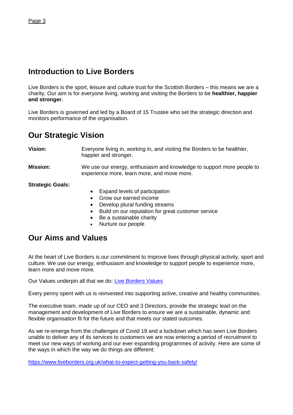## **Introduction to Live Borders**

Live Borders is the sport, leisure and culture trust for the Scottish Borders – this means we are a charity. Our aim is for everyone living, working and visiting the Borders to be **healthier, happier and stronger.**

Live Borders is governed and led by a Board of 15 Trustee who set the strategic direction and monitors performance of the organisation.

## **Our Strategic Vision**

**Vision:** Everyone living in, working in, and visiting the Borders to be healthier,

happier and stronger.

#### **Mission:** We use our energy, enthusiasm and knowledge to support more people to experience more, learn more, and move more.

**Strategic Goals:**

- Expand levels of participation
- Grow our earned income
- Develop plural funding streams
- Build on our reputation for great customer service
- Be a sustainable charity
- Nurture our people.

## **Our Aims and Values**

At the heart of Live Borders is our commitment to improve lives through physical activity, sport and culture. We use our energy, enthusiasm and knowledge to support people to experience more, learn more and move more.

Our Values underpin all that we do: [Live Borders Values](https://www.liveborders.org.uk/values/)

Every penny spent with us is reinvested into supporting active, creative and healthy communities.

The executive team, made up of our CEO and 3 Directors, provide the strategic lead on the management and development of Live Borders to ensure we are a sustainable, dynamic and flexible organisation fit for the future and that meets our stated outcomes.

As we re-emerge from the challenges of Covid 19 and a lockdown which has seen Live Borders unable to deliver any of its services to customers we are now entering a period of recruitment to meet our new ways of working and our ever expanding programmes of activity. Here are some of the ways in which the way we do things are different:

<https://www.liveborders.org.uk/what-to-expect-getting-you-back-safely/>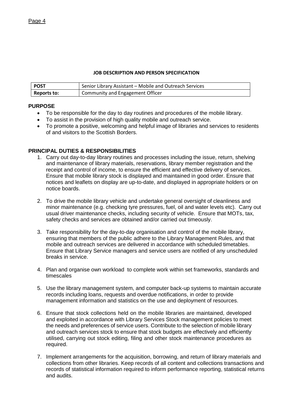#### **JOB DESCRIPTION AND PERSON SPECIFICATION**

| <b>POST</b> | Senior Library Assistant - Mobile and Outreach Services |
|-------------|---------------------------------------------------------|
| Reports to: | Community and Engagement Officer                        |

#### **PURPOSE**

- To be responsible for the day to day routines and procedures of the mobile library.
- To assist in the provision of high quality mobile and outreach service.
- To promote a positive, welcoming and helpful image of libraries and services to residents of and visitors to the Scottish Borders.

#### **PRINCIPAL DUTIES & RESPONSIBILITIES**

- 1. Carry out day-to-day library routines and processes including the issue, return, shelving and maintenance of library materials, reservations, library member registration and the receipt and control of income, to ensure the efficient and effective delivery of services. Ensure that mobile library stock is displayed and maintained in good order. Ensure that notices and leaflets on display are up-to-date, and displayed in appropriate holders or on notice boards.
- 2. To drive the mobile library vehicle and undertake general oversight of cleanliness and minor maintenance (e.g. checking tyre pressures, fuel, oil and water levels etc). Carry out usual driver maintenance checks, including security of vehicle. Ensure that MOTs, tax, safety checks and services are obtained and/or carried out timeously.
- 3. Take responsibility for the day-to-day organisation and control of the mobile library, ensuring that members of the public adhere to the Library Management Rules, and that mobile and outreach services are delivered in accordance with scheduled timetables. Ensure that Library Service managers and service users are notified of any unscheduled breaks in service.
- 4. Plan and organise own workload to complete work within set frameworks, standards and timescales
- 5. Use the library management system, and computer back-up systems to maintain accurate records including loans, requests and overdue notifications, in order to provide management information and statistics on the use and deployment of resources.
- 6. Ensure that stock collections held on the mobile libraries are maintained, developed and exploited in accordance with Library Services Stock management policies to meet the needs and preferences of service users. Contribute to the selection of mobile library and outreach services stock to ensure that stock budgets are effectively and efficiently utilised, carrying out stock editing, filing and other stock maintenance procedures as required.
- 7. Implement arrangements for the acquisition, borrowing, and return of library materials and collections from other libraries. Keep records of all content and collections transactions and records of statistical information required to inform performance reporting, statistical returns and audits.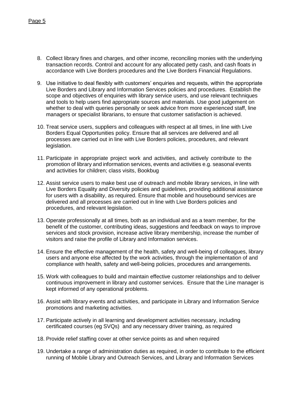- 8. Collect library fines and charges, and other income, reconciling monies with the underlying transaction records. Control and account for any allocated petty cash, and cash floats in accordance with Live Borders procedures and the Live Borders Financial Regulations.
- 9. Use initiative to deal flexibly with customers' enquiries and requests, within the appropriate Live Borders and Library and Information Services policies and procedures. Establish the scope and objectives of enquiries with library service users, and use relevant techniques and tools to help users find appropriate sources and materials. Use good judgement on whether to deal with queries personally or seek advice from more experienced staff, line managers or specialist librarians, to ensure that customer satisfaction is achieved.
- 10. Treat service users, suppliers and colleagues with respect at all times, in line with Live Borders Equal Opportunities policy. Ensure that all services are delivered and all processes are carried out in line with Live Borders policies, procedures, and relevant legislation.
- 11. Participate in appropriate project work and activities, and actively contribute to the promotion of library and information services, events and activities e.g. seasonal events and activities for children; class visits, Bookbug
- 12. Assist service users to make best use of outreach and mobile library services, in line with Live Borders Equality and Diversity policies and guidelines, providing additional assistance for users with a disability, as required. Ensure that mobile and housebound services are delivered and all processes are carried out in line with Live Borders policies and procedures, and relevant legislation.
- 13. Operate professionally at all times, both as an individual and as a team member, for the benefit of the customer, contributing ideas, suggestions and feedback on ways to improve services and stock provision, increase active library membership, increase the number of visitors and raise the profile of Library and Information services.
- 14. Ensure the effective management of the health, safety and well-being of colleagues, library users and anyone else affected by the work activities, through the implementation of and compliance with health, safety and well-being policies, procedures and arrangements.
- 15. Work with colleagues to build and maintain effective customer relationships and to deliver continuous improvement in library and customer services. Ensure that the Line manager is kept informed of any operational problems.
- 16. Assist with library events and activities, and participate in Library and Information Service promotions and marketing activities.
- 17. Participate actively in all learning and development activities necessary, including certificated courses (eg SVQs) and any necessary driver training, as required
- 18. Provide relief staffing cover at other service points as and when required
- 19. Undertake a range of administration duties as required, in order to contribute to the efficient running of Mobile Library and Outreach Services, and Library and Information Services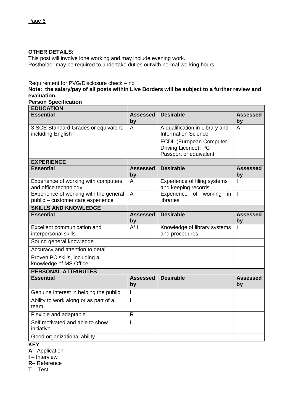#### **OTHER DETAILS:**

This post will involve lone working and may include evening work. Postholder may be required to undertake duties outwith normal working hours.

Requirement for PVG/Disclosure check – no

**Note: the salary/pay of all posts within Live Borders will be subject to a further review and evaluation.**

**Person Specification**

| <b>EDUCATION</b>                                                            |                       |                                                                                  |                       |  |
|-----------------------------------------------------------------------------|-----------------------|----------------------------------------------------------------------------------|-----------------------|--|
| <b>Essential</b>                                                            | <b>Assessed</b><br>by | <b>Desirable</b>                                                                 | <b>Assessed</b><br>by |  |
| 3 SCE Standard Grades or equivalent,<br>including English                   | A                     | A qualification in Library and<br><b>Information Science</b>                     | A                     |  |
|                                                                             |                       | <b>ECDL (European Computer</b><br>Driving Licence), PC<br>Passport or equivalent |                       |  |
| <b>EXPERIENCE</b>                                                           |                       |                                                                                  |                       |  |
| <b>Essential</b>                                                            | <b>Assessed</b><br>by | <b>Desirable</b>                                                                 | <b>Assessed</b><br>by |  |
| Experience of working with computers<br>and office technology               | A                     | Experience of filing systems<br>and keeping records                              |                       |  |
| Experience of working with the general<br>public - customer care experience | $\overline{A}$        | Experience of working<br>in<br>libraries                                         | $\mathbf{I}$          |  |
| <b>SKILLS AND KNOWLEDGE</b>                                                 |                       |                                                                                  |                       |  |
| <b>Essential</b>                                                            | <b>Assessed</b><br>by | <b>Desirable</b>                                                                 | <b>Assessed</b><br>by |  |
| Excellent communication and<br>interpersonal skills                         | A/I                   | Knowledge of library systems<br>and procedures                                   |                       |  |
| Sound general knowledge                                                     |                       |                                                                                  |                       |  |
| Accuracy and attention to detail                                            |                       |                                                                                  |                       |  |
| Proven PC skills, including a<br>knowledge of MS Office                     |                       |                                                                                  |                       |  |
| <b>PERSONAL ATTRIBUTES</b>                                                  |                       |                                                                                  |                       |  |
| <b>Essential</b>                                                            | <b>Assessed</b><br>by | <b>Desirable</b>                                                                 | <b>Assessed</b><br>by |  |
| Genuine interest in helping the public                                      | I                     |                                                                                  |                       |  |
| Ability to work along or as part of a<br>team                               | I                     |                                                                                  |                       |  |
| Flexible and adaptable                                                      | $\mathsf{R}$          |                                                                                  |                       |  |
| Self motivated and able to show<br>initiative                               | I                     |                                                                                  |                       |  |
| Good organizational ability                                                 |                       |                                                                                  |                       |  |

### **KEY**

**A** - Application

**I** – Interview

**R**– Reference

**T** – Test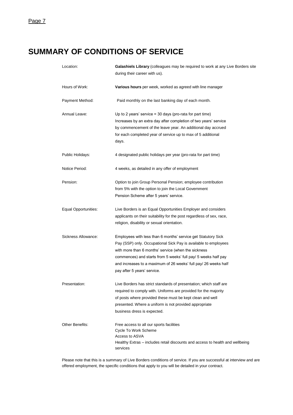## **SUMMARY OF CONDITIONS OF SERVICE**

| Location:            | Galashiels Library (colleagues may be required to work at any Live Borders site<br>during their career with us).                                                                                                                                                                                                                                            |
|----------------------|-------------------------------------------------------------------------------------------------------------------------------------------------------------------------------------------------------------------------------------------------------------------------------------------------------------------------------------------------------------|
| Hours of Work:       | Various hours per week, worked as agreed with line manager                                                                                                                                                                                                                                                                                                  |
| Payment Method:      | Paid monthly on the last banking day of each month.                                                                                                                                                                                                                                                                                                         |
| Annual Leave:        | Up to 2 years' service $=$ 30 days (pro-rata for part time)<br>Increases by an extra day after completion of two years' service<br>by commencement of the leave year. An additional day accrued<br>for each completed year of service up to max of 5 additional<br>days.                                                                                    |
| Public Holidays:     | 4 designated public holidays per year (pro-rata for part time)                                                                                                                                                                                                                                                                                              |
| Notice Period:       | 4 weeks, as detailed in any offer of employment                                                                                                                                                                                                                                                                                                             |
| Pension:             | Option to join Group Personal Pension; employee contribution<br>from 5% with the option to join the Local Government<br>Pension Scheme after 5 years' service.                                                                                                                                                                                              |
| Equal Opportunities: | Live Borders is an Equal Opportunities Employer and considers<br>applicants on their suitability for the post regardless of sex, race,<br>religion, disability or sexual orientation.                                                                                                                                                                       |
| Sickness Allowance:  | Employees with less than 6 months' service get Statutory Sick<br>Pay (SSP) only. Occupational Sick Pay is available to employees<br>with more than 6 months' service (when the sickness<br>commences) and starts from 5 weeks' full pay/ 5 weeks half pay<br>and increases to a maximum of 26 weeks' full pay/ 26 weeks half<br>pay after 5 years' service. |
| Presentation:        | Live Borders has strict standards of presentation; which staff are<br>required to comply with. Uniforms are provided for the majority<br>of posts where provided these must be kept clean and well<br>presented. Where a uniform is not provided appropriate<br>business dress is expected.                                                                 |
| Other Benefits:      | Free access to all our sports facilities<br>Cycle To Work Scheme<br>Access to ASVA<br>Healthy Extras – includes retail discounts and access to health and wellbeing<br>services                                                                                                                                                                             |

Please note that this is a summary of Live Borders conditions of service. If you are successful at interview and are offered employment, the specific conditions that apply to you will be detailed in your contract.